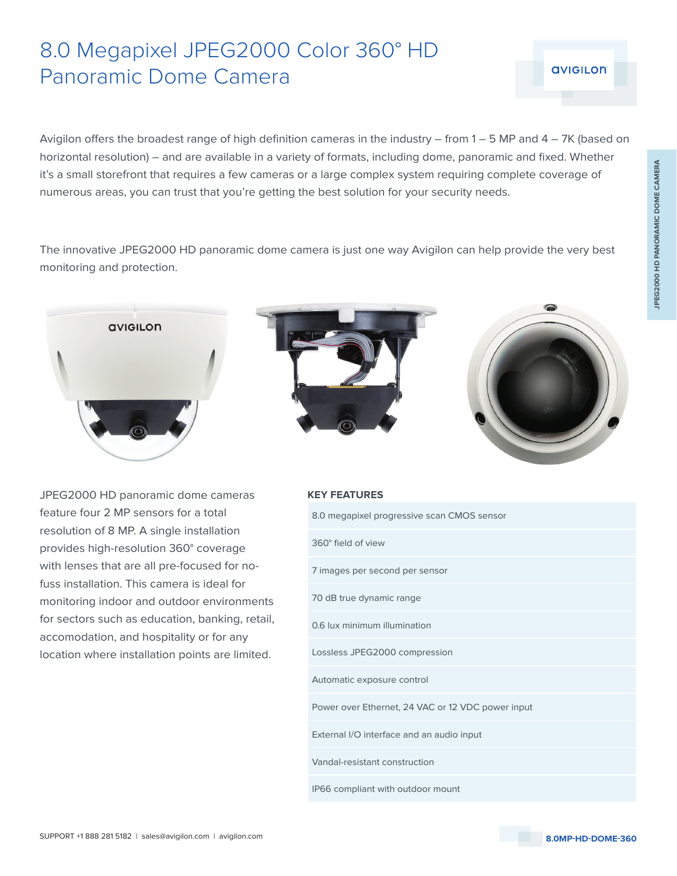## 8.0 Megapixel JPEG2000 Color 360° HD Panoramic Dome Camera

Avigilon offers the broadest range of high definition cameras in the industry – from 1 – 5 MP and 4 – 7K (based on horizontal resolution) – and are available in a variety of formats, including dome, panoramic and fixed. Whether it's a small storefront that requires a few cameras or a large complex system requiring complete coverage of numerous areas, you can trust that you're getting the best solution for your security needs.

The innovative JPEG2000 HD panoramic dome camera is just one way Avigilon can help provide the very best monitoring and protection.



JPEG2000 HD panoramic dome cameras feature four 2 MP sensors for a total resolution of 8 MP. A single installation provides high-resolution 360° coverage with lenses that are all pre-focused for nofuss installation. This camera is ideal for monitoring indoor and outdoor environments for sectors such as education, banking, retail, accomodation, and hospitality or for any location where installation points are limited.





**avigiLon** 

#### **KEY FEATURES**

| 8.0 megapixel progressive scan CMOS sensor        |  |  |  |  |
|---------------------------------------------------|--|--|--|--|
| 360° field of view                                |  |  |  |  |
| 7 images per second per sensor                    |  |  |  |  |
| 70 dB true dynamic range                          |  |  |  |  |
| 0.6 lux minimum illumination                      |  |  |  |  |
| Lossless JPEG2000 compression                     |  |  |  |  |
| Automatic exposure control                        |  |  |  |  |
| Power over Ethernet, 24 VAC or 12 VDC power input |  |  |  |  |
| External I/O interface and an audio input         |  |  |  |  |
| Vandal-resistant construction                     |  |  |  |  |
| IP66 compliant with outdoor mount                 |  |  |  |  |